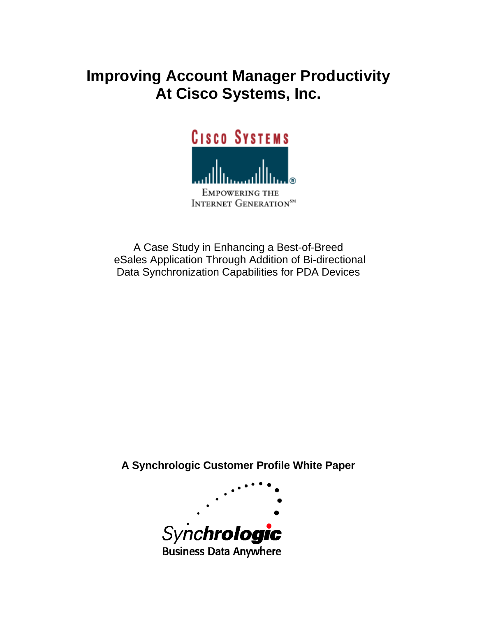# **Improving Account Manager Productivity At Cisco Systems, Inc.**



A Case Study in Enhancing a Best-of-Breed eSales Application Through Addition of Bi-directional Data Synchronization Capabilities for PDA Devices

**A Synchrologic Customer Profile White Paper**

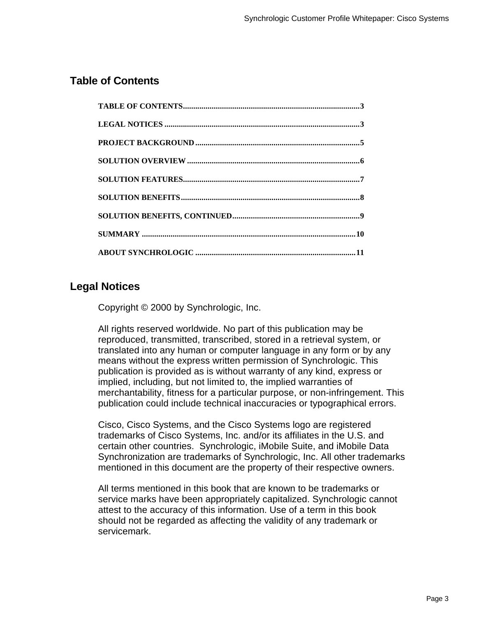## **Table of Contents**

## **Legal Notices**

Copyright © 2000 by Synchrologic, Inc.

All rights reserved worldwide. No part of this publication may be reproduced, transmitted, transcribed, stored in a retrieval system, or translated into any human or computer language in any form or by any means without the express written permission of Synchrologic. This publication is provided as is without warranty of any kind, express or implied, including, but not limited to, the implied warranties of merchantability, fitness for a particular purpose, or non-infringement. This publication could include technical inaccuracies or typographical errors.

Cisco, Cisco Systems, and the Cisco Systems logo are registered trademarks of Cisco Systems, Inc. and/or its affiliates in the U.S. and certain other countries. Synchrologic, iMobile Suite, and iMobile Data Synchronization are trademarks of Synchrologic, Inc. All other trademarks mentioned in this document are the property of their respective owners.

All terms mentioned in this book that are known to be trademarks or service marks have been appropriately capitalized. Synchrologic cannot attest to the accuracy of this information. Use of a term in this book should not be regarded as affecting the validity of any trademark or servicemark.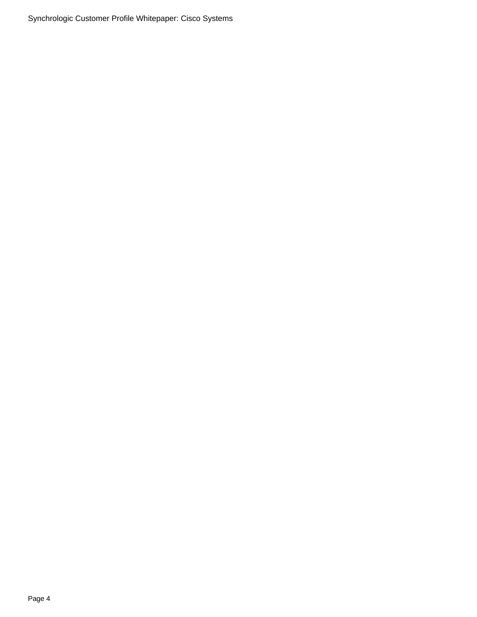Synchrologic Customer Profile Whitepaper: Cisco Systems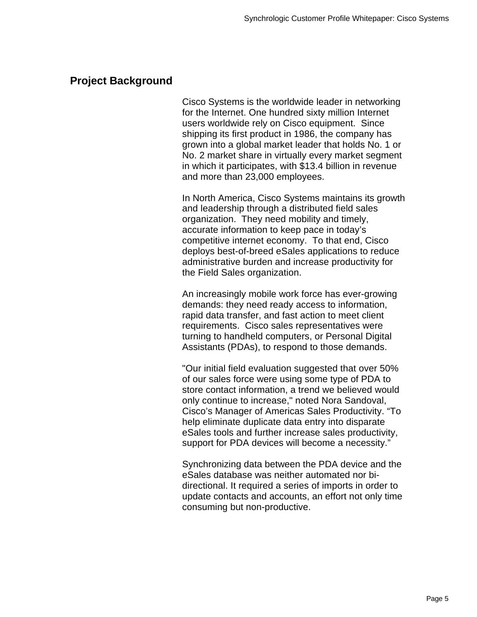## **Project Background**

Cisco Systems is the worldwide leader in networking for the Internet. One hundred sixty million Internet users worldwide rely on Cisco equipment. Since shipping its first product in 1986, the company has grown into a global market leader that holds No. 1 or No. 2 market share in virtually every market segment in which it participates, with \$13.4 billion in revenue and more than 23,000 employees.

In North America, Cisco Systems maintains its growth and leadership through a distributed field sales organization. They need mobility and timely, accurate information to keep pace in today's competitive internet economy. To that end, Cisco deploys best-of-breed eSales applications to reduce administrative burden and increase productivity for the Field Sales organization.

An increasingly mobile work force has ever-growing demands: they need ready access to information, rapid data transfer, and fast action to meet client requirements. Cisco sales representatives were turning to handheld computers, or Personal Digital Assistants (PDAs), to respond to those demands.

"Our initial field evaluation suggested that over 50% of our sales force were using some type of PDA to store contact information, a trend we believed would only continue to increase," noted Nora Sandoval, Cisco's Manager of Americas Sales Productivity. "To help eliminate duplicate data entry into disparate eSales tools and further increase sales productivity, support for PDA devices will become a necessity."

Synchronizing data between the PDA device and the eSales database was neither automated nor bidirectional. It required a series of imports in order to update contacts and accounts, an effort not only time consuming but non-productive.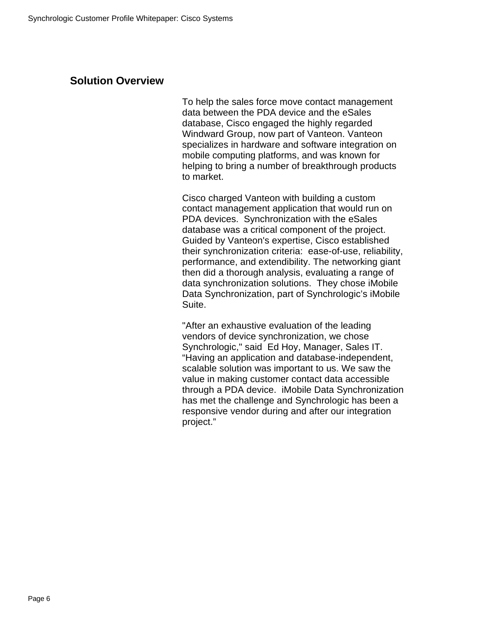## **Solution Overview**

To help the sales force move contact management data between the PDA device and the eSales database, Cisco engaged the highly regarded Windward Group, now part of Vanteon. Vanteon specializes in hardware and software integration on mobile computing platforms, and was known for helping to bring a number of breakthrough products to market.

Cisco charged Vanteon with building a custom contact management application that would run on PDA devices. Synchronization with the eSales database was a critical component of the project. Guided by Vanteon's expertise, Cisco established their synchronization criteria: ease-of-use, reliability, performance, and extendibility. The networking giant then did a thorough analysis, evaluating a range of data synchronization solutions. They chose iMobile Data Synchronization, part of Synchrologic's iMobile Suite.

"After an exhaustive evaluation of the leading vendors of device synchronization, we chose Synchrologic," said Ed Hoy, Manager, Sales IT. "Having an application and database-independent, scalable solution was important to us. We saw the value in making customer contact data accessible through a PDA device. iMobile Data Synchronization has met the challenge and Synchrologic has been a responsive vendor during and after our integration project."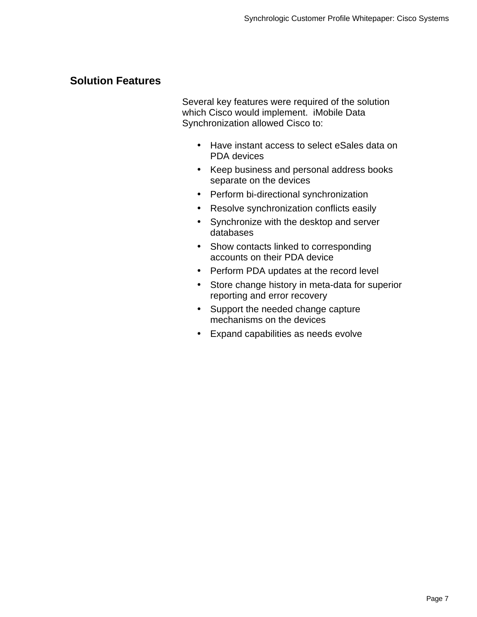## **Solution Features**

Several key features were required of the solution which Cisco would implement. iMobile Data Synchronization allowed Cisco to:

- Have instant access to select eSales data on PDA devices
- Keep business and personal address books separate on the devices
- Perform bi-directional synchronization
- Resolve synchronization conflicts easily
- Synchronize with the desktop and server databases
- Show contacts linked to corresponding accounts on their PDA device
- Perform PDA updates at the record level
- Store change history in meta-data for superior reporting and error recovery
- Support the needed change capture mechanisms on the devices
- Expand capabilities as needs evolve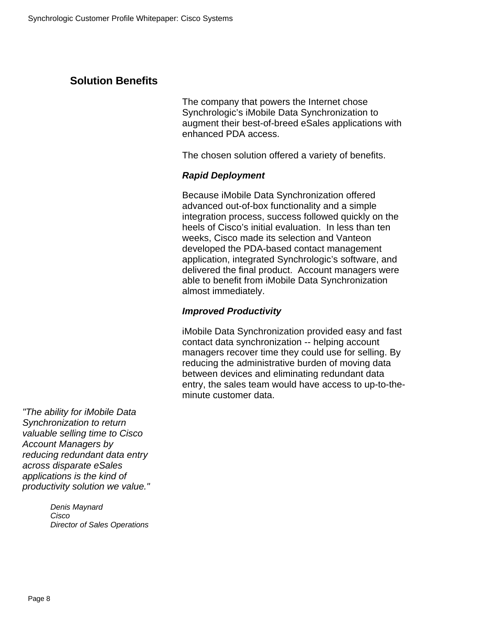## **Solution Benefits**

The company that powers the Internet chose Synchrologic's iMobile Data Synchronization to augment their best-of-breed eSales applications with enhanced PDA access.

The chosen solution offered a variety of benefits.

### *Rapid Deployment*

Because iMobile Data Synchronization offered advanced out-of-box functionality and a simple integration process, success followed quickly on the heels of Cisco's initial evaluation. In less than ten weeks, Cisco made its selection and Vanteon developed the PDA-based contact management application, integrated Synchrologic's software, and delivered the final product. Account managers were able to benefit from iMobile Data Synchronization almost immediately.

#### *Improved Productivity*

iMobile Data Synchronization provided easy and fast contact data synchronization -- helping account managers recover time they could use for selling. By reducing the administrative burden of moving data between devices and eliminating redundant data entry, the sales team would have access to up-to-theminute customer data.

*"The ability for iMobile Data Synchronization to return valuable selling time to Cisco Account Managers by reducing redundant data entry across disparate eSales applications is the kind of productivity solution we value."*

> *Denis Maynard Cisco Director of Sales Operations*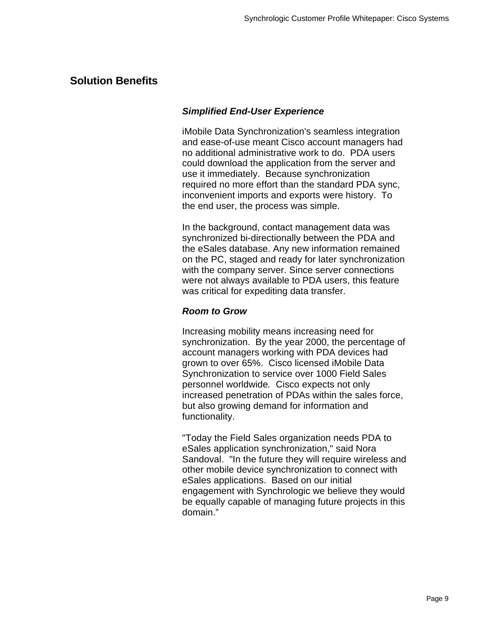## **Solution Benefits**

#### *Simplified End-User Experience*

iMobile Data Synchronization's seamless integration and ease-of-use meant Cisco account managers had no additional administrative work to do. PDA users could download the application from the server and use it immediately. Because synchronization required no more effort than the standard PDA sync, inconvenient imports and exports were history. To the end user, the process was simple.

In the background, contact management data was synchronized bi-directionally between the PDA and the eSales database. Any new information remained on the PC, staged and ready for later synchronization with the company server. Since server connections were not always available to PDA users, this feature was critical for expediting data transfer.

#### *Room to Grow*

Increasing mobility means increasing need for synchronization. By the year 2000, the percentage of account managers working with PDA devices had grown to over 65%. Cisco licensed iMobile Data Synchronization to service over 1000 Field Sales personnel worldwide*.* Cisco expects not only increased penetration of PDAs within the sales force, but also growing demand for information and functionality.

"Today the Field Sales organization needs PDA to eSales application synchronization," said Nora Sandoval. "In the future they will require wireless and other mobile device synchronization to connect with eSales applications. Based on our initial engagement with Synchrologic we believe they would be equally capable of managing future projects in this domain."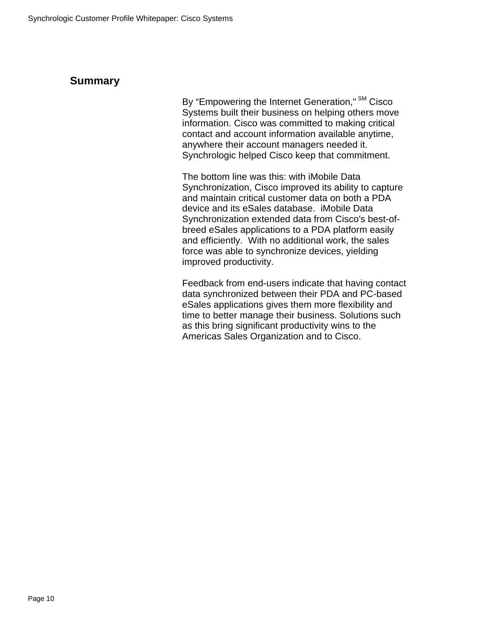## **Summary**

By "Empowering the Internet Generation," SM Cisco Systems built their business on helping others move information. Cisco was committed to making critical contact and account information available anytime, anywhere their account managers needed it. Synchrologic helped Cisco keep that commitment.

The bottom line was this: with iMobile Data Synchronization, Cisco improved its ability to capture and maintain critical customer data on both a PDA device and its eSales database. iMobile Data Synchronization extended data from Cisco's best-ofbreed eSales applications to a PDA platform easily and efficiently. With no additional work, the sales force was able to synchronize devices, yielding improved productivity.

Feedback from end-users indicate that having contact data synchronized between their PDA and PC-based eSales applications gives them more flexibility and time to better manage their business. Solutions such as this bring significant productivity wins to the Americas Sales Organization and to Cisco.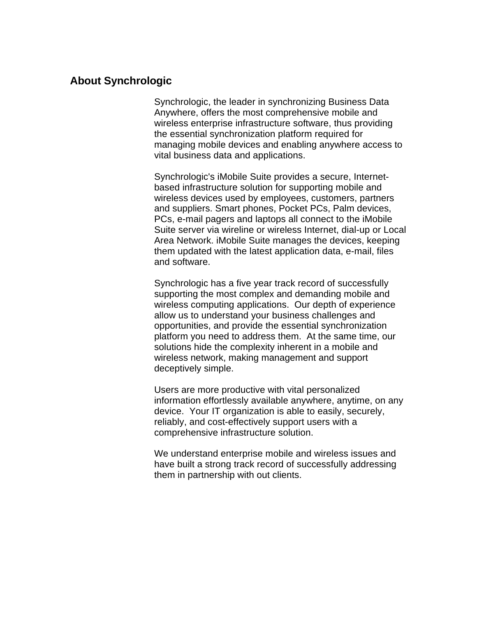### **About Synchrologic**

Synchrologic, the leader in synchronizing Business Data Anywhere, offers the most comprehensive mobile and wireless enterprise infrastructure software, thus providing the essential synchronization platform required for managing mobile devices and enabling anywhere access to vital business data and applications.

Synchrologic's iMobile Suite provides a secure, Internetbased infrastructure solution for supporting mobile and wireless devices used by employees, customers, partners and suppliers. Smart phones, Pocket PCs, Palm devices, PCs, e-mail pagers and laptops all connect to the iMobile Suite server via wireline or wireless Internet, dial-up or Local Area Network. iMobile Suite manages the devices, keeping them updated with the latest application data, e-mail, files and software.

Synchrologic has a five year track record of successfully supporting the most complex and demanding mobile and wireless computing applications. Our depth of experience allow us to understand your business challenges and opportunities, and provide the essential synchronization platform you need to address them. At the same time, our solutions hide the complexity inherent in a mobile and wireless network, making management and support deceptively simple.

Users are more productive with vital personalized information effortlessly available anywhere, anytime, on any device. Your IT organization is able to easily, securely, reliably, and cost-effectively support users with a comprehensive infrastructure solution.

We understand enterprise mobile and wireless issues and have built a strong track record of successfully addressing them in partnership with out clients.